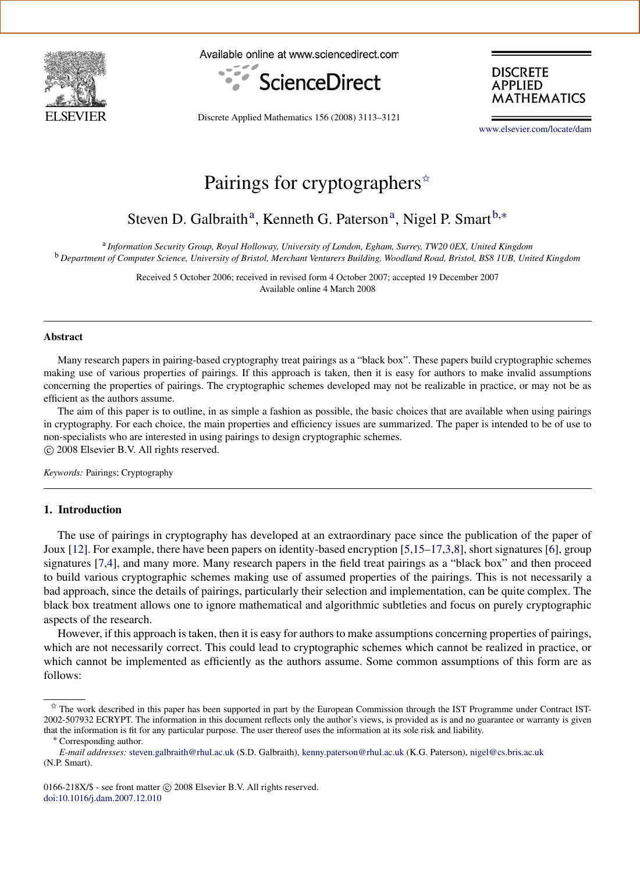

Available online at www.sciencedirect.com



**DISCRETE APPLIED MATHEMATICS** 

Discrete Applied Mathematics 156 (2008) 3113–3121

[www.elsevier.com/locate/dam](http://www.elsevier.com/locate/dam)

# Pairings for cryptographers  $\hat{z}$

## <span id="page-0-1"></span>Steven D. G[a](#page-0-1)lbraith<sup>a</sup>, Kenneth G. Paterson<sup>a</sup>, Nigel P. Smart<sup>[b,](#page-0-2)\*</sup>

<span id="page-0-2"></span>a *Information Security Group, Royal Holloway, University of London, Egham, Surrey, TW20 0EX, United Kingdom* <sup>b</sup> *Department of Computer Science, University of Bristol, Merchant Venturers Building, Woodland Road, Bristol, BS8 1UB, United Kingdom*

> Received 5 October 2006; received in revised form 4 October 2007; accepted 19 December 2007 Available online 4 March 2008

#### Abstract

Many research papers in pairing-based cryptography treat pairings as a "black box". These papers build cryptographic schemes making use of various properties of pairings. If this approach is taken, then it is easy for authors to make invalid assumptions concerning the properties of pairings. The cryptographic schemes developed may not be realizable in practice, or may not be as efficient as the authors assume.

The aim of this paper is to outline, in as simple a fashion as possible, the basic choices that are available when using pairings in cryptography. For each choice, the main properties and efficiency issues are summarized. The paper is intended to be of use to non-specialists who are interested in using pairings to design cryptographic schemes. c 2008 Elsevier B.V. All rights reserved.

*Keywords:* Pairings; Cryptography

## 1. Introduction

The use of pairings in cryptography has developed at an extraordinary pace since the publication of the paper of Joux [\[12\]](#page-8-0). For example, there have been papers on identity-based encryption [\[5](#page-8-1)[,15–17](#page-8-2)[,3](#page-8-3)[,8\]](#page-8-4), short signatures [\[6\]](#page-8-5), group signatures [\[7,](#page-8-6)[4\]](#page-8-7), and many more. Many research papers in the field treat pairings as a "black box" and then proceed to build various cryptographic schemes making use of assumed properties of the pairings. This is not necessarily a bad approach, since the details of pairings, particularly their selection and implementation, can be quite complex. The black box treatment allows one to ignore mathematical and algorithmic subtleties and focus on purely cryptographic aspects of the research.

However, if this approach is taken, then it is easy for authors to make assumptions concerning properties of pairings, which are not necessarily correct. This could lead to cryptographic schemes which cannot be realized in practice, or which cannot be implemented as efficiently as the authors assume. Some common assumptions of this form are as follows:

<span id="page-0-0"></span> $\hat{\mathbb{X}}$  The work described in this paper has been supported in part by the European Commission through the IST Programme under Contract IST-2002-507932 ECRYPT. The information in this document reflects only the author's views, is provided as is and no guarantee or warranty is given that the information is fit for any particular purpose. The user thereof uses the information at its sole risk and liability.

<span id="page-0-3"></span><sup>∗</sup> Corresponding author.

*E-mail addresses:* [steven.galbraith@rhul.ac.uk](mailto:steven.galbraith@rhul.ac.uk) (S.D. Galbraith), [kenny.paterson@rhul.ac.uk](mailto:kenny.paterson@rhul.ac.uk) (K.G. Paterson), [nigel@cs.bris.ac.uk](mailto:nigel@cs.bris.ac.uk) (N.P. Smart).

<sup>0166-218</sup>X/\$ - see front matter © 2008 Elsevier B.V. All rights reserved. [doi:10.1016/j.dam.2007.12.010](http://dx.doi.org/10.1016/j.dam.2007.12.010)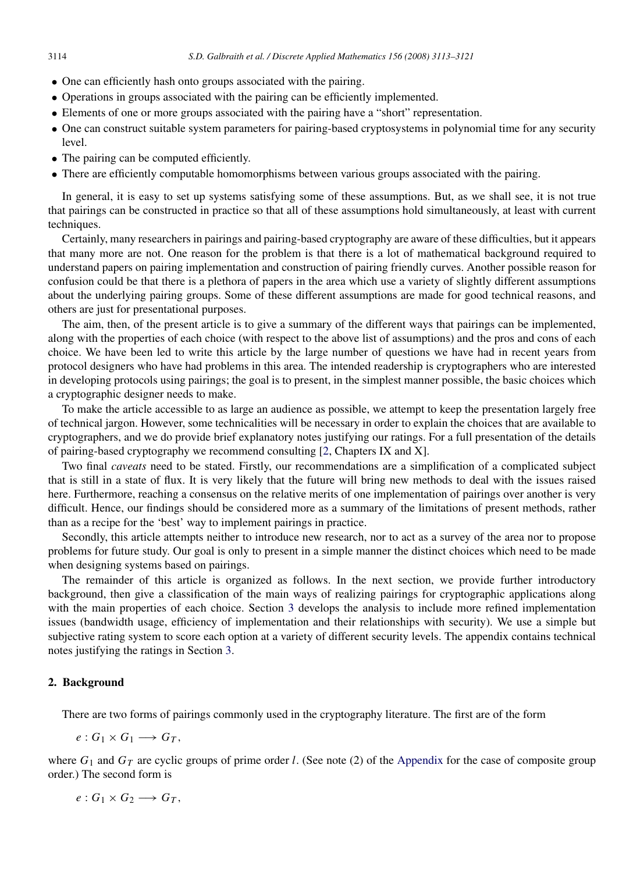- One can efficiently hash onto groups associated with the pairing.
- Operations in groups associated with the pairing can be efficiently implemented.
- Elements of one or more groups associated with the pairing have a "short" representation.
- One can construct suitable system parameters for pairing-based cryptosystems in polynomial time for any security level.
- The pairing can be computed efficiently.
- There are efficiently computable homomorphisms between various groups associated with the pairing.

In general, it is easy to set up systems satisfying some of these assumptions. But, as we shall see, it is not true that pairings can be constructed in practice so that all of these assumptions hold simultaneously, at least with current techniques.

Certainly, many researchers in pairings and pairing-based cryptography are aware of these difficulties, but it appears that many more are not. One reason for the problem is that there is a lot of mathematical background required to understand papers on pairing implementation and construction of pairing friendly curves. Another possible reason for confusion could be that there is a plethora of papers in the area which use a variety of slightly different assumptions about the underlying pairing groups. Some of these different assumptions are made for good technical reasons, and others are just for presentational purposes.

The aim, then, of the present article is to give a summary of the different ways that pairings can be implemented, along with the properties of each choice (with respect to the above list of assumptions) and the pros and cons of each choice. We have been led to write this article by the large number of questions we have had in recent years from protocol designers who have had problems in this area. The intended readership is cryptographers who are interested in developing protocols using pairings; the goal is to present, in the simplest manner possible, the basic choices which a cryptographic designer needs to make.

To make the article accessible to as large an audience as possible, we attempt to keep the presentation largely free of technical jargon. However, some technicalities will be necessary in order to explain the choices that are available to cryptographers, and we do provide brief explanatory notes justifying our ratings. For a full presentation of the details of pairing-based cryptography we recommend consulting [\[2,](#page-8-8) Chapters IX and X].

Two final *caveats* need to be stated. Firstly, our recommendations are a simplification of a complicated subject that is still in a state of flux. It is very likely that the future will bring new methods to deal with the issues raised here. Furthermore, reaching a consensus on the relative merits of one implementation of pairings over another is very difficult. Hence, our findings should be considered more as a summary of the limitations of present methods, rather than as a recipe for the 'best' way to implement pairings in practice.

Secondly, this article attempts neither to introduce new research, nor to act as a survey of the area nor to propose problems for future study. Our goal is only to present in a simple manner the distinct choices which need to be made when designing systems based on pairings.

The remainder of this article is organized as follows. In the next section, we provide further introductory background, then give a classification of the main ways of realizing pairings for cryptographic applications along with the main properties of each choice. Section [3](#page-3-0) develops the analysis to include more refined implementation issues (bandwidth usage, efficiency of implementation and their relationships with security). We use a simple but subjective rating system to score each option at a variety of different security levels. The appendix contains technical notes justifying the ratings in Section [3.](#page-3-0)

## 2. Background

There are two forms of pairings commonly used in the cryptography literature. The first are of the form

 $e: G_1 \times G_1 \longrightarrow G_T$ ,

where  $G_1$  and  $G_T$  are cyclic groups of prime order *l*. (See note (2) of the [Appendix](#page-5-0) for the case of composite group order.) The second form is

 $e: G_1 \times G_2 \longrightarrow G_T$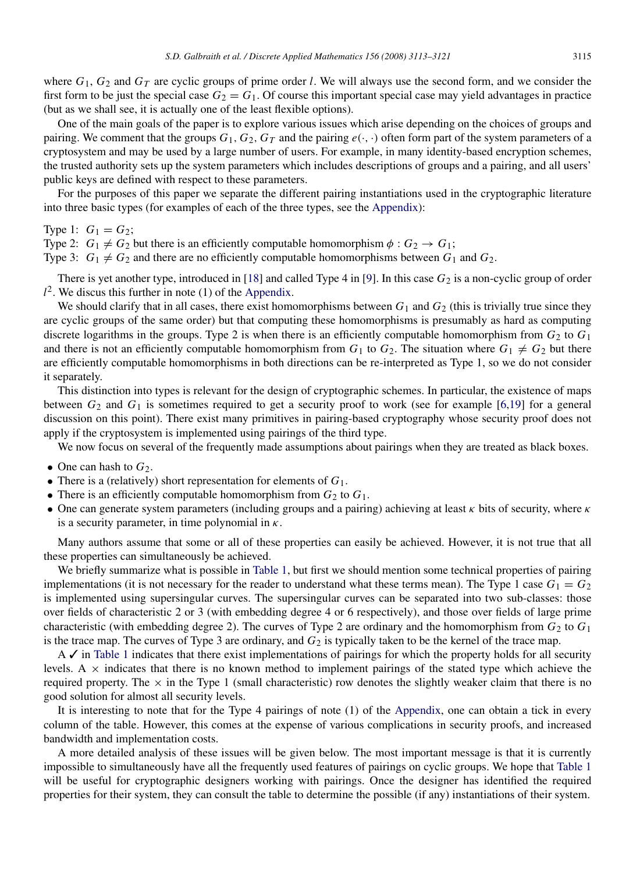where  $G_1$ ,  $G_2$  and  $G_T$  are cyclic groups of prime order *l*. We will always use the second form, and we consider the first form to be just the special case  $G_2 = G_1$ . Of course this important special case may yield advantages in practice (but as we shall see, it is actually one of the least flexible options).

One of the main goals of the paper is to explore various issues which arise depending on the choices of groups and pairing. We comment that the groups  $G_1, G_2, G_T$  and the pairing  $e(\cdot, \cdot)$  often form part of the system parameters of a cryptosystem and may be used by a large number of users. For example, in many identity-based encryption schemes, the trusted authority sets up the system parameters which includes descriptions of groups and a pairing, and all users' public keys are defined with respect to these parameters.

For the purposes of this paper we separate the different pairing instantiations used in the cryptographic literature into three basic types (for examples of each of the three types, see the [Appendix\)](#page-5-0):

Type 1:  $G_1 = G_2$ ;

Type 2:  $G_1 \neq G_2$  but there is an efficiently computable homomorphism  $\phi : G_2 \to G_1$ ;

Type 3:  $G_1 \neq G_2$  and there are no efficiently computable homomorphisms between  $G_1$  and  $G_2$ .

There is yet another type, introduced in [\[18\]](#page-8-9) and called Type 4 in [\[9\]](#page-8-10). In this case  $G_2$  is a non-cyclic group of order  $l^2$ . We discus this further in note (1) of the [Appendix.](#page-5-0)

We should clarify that in all cases, there exist homomorphisms between  $G_1$  and  $G_2$  (this is trivially true since they are cyclic groups of the same order) but that computing these homomorphisms is presumably as hard as computing discrete logarithms in the groups. Type 2 is when there is an efficiently computable homomorphism from  $G_2$  to  $G_1$ and there is not an efficiently computable homomorphism from  $G_1$  to  $G_2$ . The situation where  $G_1 \neq G_2$  but there are efficiently computable homomorphisms in both directions can be re-interpreted as Type 1, so we do not consider it separately.

This distinction into types is relevant for the design of cryptographic schemes. In particular, the existence of maps between  $G_2$  and  $G_1$  is sometimes required to get a security proof to work (see for example [\[6](#page-8-5)[,19\]](#page-8-11) for a general discussion on this point). There exist many primitives in pairing-based cryptography whose security proof does not apply if the cryptosystem is implemented using pairings of the third type.

We now focus on several of the frequently made assumptions about pairings when they are treated as black boxes.

- One can hash to  $G_2$ .
- There is a (relatively) short representation for elements of *G*1.
- There is an efficiently computable homomorphism from  $G_2$  to  $G_1$ .
- One can generate system parameters (including groups and a pairing) achieving at least  $\kappa$  bits of security, where  $\kappa$ is a security parameter, in time polynomial in  $\kappa$ .

Many authors assume that some or all of these properties can easily be achieved. However, it is not true that all these properties can simultaneously be achieved.

We briefly summarize what is possible in [Table 1,](#page-3-1) but first we should mention some technical properties of pairing implementations (it is not necessary for the reader to understand what these terms mean). The Type 1 case  $G_1 = G_2$ is implemented using supersingular curves. The supersingular curves can be separated into two sub-classes: those over fields of characteristic 2 or 3 (with embedding degree 4 or 6 respectively), and those over fields of large prime characteristic (with embedding degree 2). The curves of Type 2 are ordinary and the homomorphism from  $G_2$  to  $G_1$ is the trace map. The curves of Type 3 are ordinary, and  $G_2$  is typically taken to be the kernel of the trace map.

 $A \nightharpoonup$  in [Table 1](#page-3-1) indicates that there exist implementations of pairings for which the property holds for all security levels. A  $\times$  indicates that there is no known method to implement pairings of the stated type which achieve the required property. The  $\times$  in the Type 1 (small characteristic) row denotes the slightly weaker claim that there is no good solution for almost all security levels.

It is interesting to note that for the Type 4 pairings of note (1) of the [Appendix,](#page-5-0) one can obtain a tick in every column of the table. However, this comes at the expense of various complications in security proofs, and increased bandwidth and implementation costs.

A more detailed analysis of these issues will be given below. The most important message is that it is currently impossible to simultaneously have all the frequently used features of pairings on cyclic groups. We hope that [Table 1](#page-3-1) will be useful for cryptographic designers working with pairings. Once the designer has identified the required properties for their system, they can consult the table to determine the possible (if any) instantiations of their system.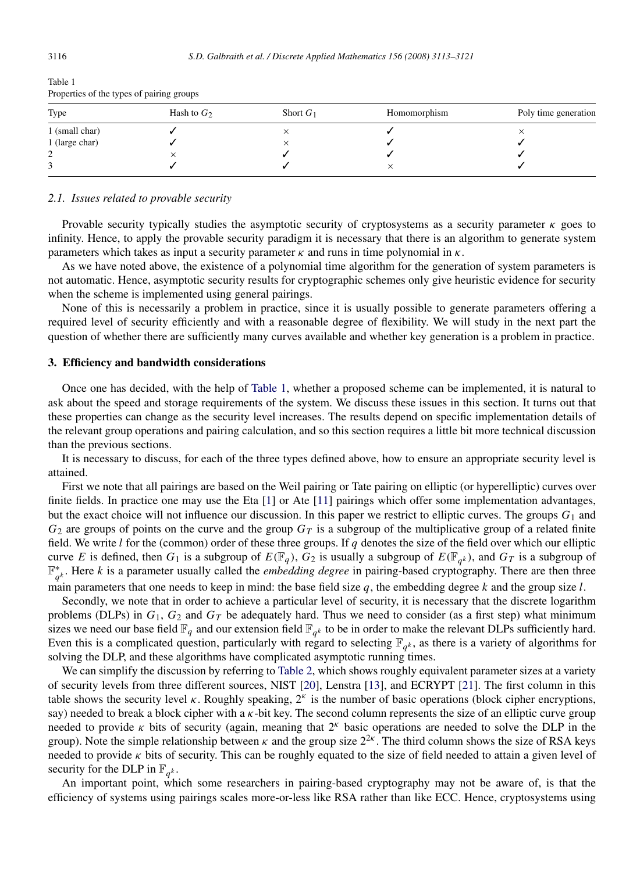| Type           | Hash to $G_2$ | Short $G_1$ | Homomorphism | Poly time generation |
|----------------|---------------|-------------|--------------|----------------------|
| 1 (small char) |               |             |              |                      |
| 1 (large char) |               | ㅅ           |              |                      |
|                |               |             |              |                      |
|                |               |             |              |                      |

<span id="page-3-1"></span>Table 1 Properties of the types of pairing groups

#### *2.1. Issues related to provable security*

Provable security typically studies the asymptotic security of cryptosystems as a security parameter  $\kappa$  goes to infinity. Hence, to apply the provable security paradigm it is necessary that there is an algorithm to generate system parameters which takes as input a security parameter  $\kappa$  and runs in time polynomial in  $\kappa$ .

As we have noted above, the existence of a polynomial time algorithm for the generation of system parameters is not automatic. Hence, asymptotic security results for cryptographic schemes only give heuristic evidence for security when the scheme is implemented using general pairings.

None of this is necessarily a problem in practice, since it is usually possible to generate parameters offering a required level of security efficiently and with a reasonable degree of flexibility. We will study in the next part the question of whether there are sufficiently many curves available and whether key generation is a problem in practice.

#### <span id="page-3-0"></span>3. Efficiency and bandwidth considerations

Once one has decided, with the help of [Table 1,](#page-3-1) whether a proposed scheme can be implemented, it is natural to ask about the speed and storage requirements of the system. We discuss these issues in this section. It turns out that these properties can change as the security level increases. The results depend on specific implementation details of the relevant group operations and pairing calculation, and so this section requires a little bit more technical discussion than the previous sections.

It is necessary to discuss, for each of the three types defined above, how to ensure an appropriate security level is attained.

First we note that all pairings are based on the Weil pairing or Tate pairing on elliptic (or hyperelliptic) curves over finite fields. In practice one may use the Eta [\[1\]](#page-8-12) or Ate [\[11\]](#page-8-13) pairings which offer some implementation advantages, but the exact choice will not influence our discussion. In this paper we restrict to elliptic curves. The groups  $G_1$  and  $G_2$  are groups of points on the curve and the group  $G_T$  is a subgroup of the multiplicative group of a related finite field. We write *l* for the (common) order of these three groups. If *q* denotes the size of the field over which our elliptic curve *E* is defined, then  $G_1$  is a subgroup of  $E(\mathbb{F}_q)$ ,  $G_2$  is usually a subgroup of  $E(\mathbb{F}_{q^k})$ , and  $G_T$  is a subgroup of F ∗ *q k* . Here *k* is a parameter usually called the *embedding degree* in pairing-based cryptography. There are then three main parameters that one needs to keep in mind: the base field size *q*, the embedding degree *k* and the group size *l*.

Secondly, we note that in order to achieve a particular level of security, it is necessary that the discrete logarithm problems (DLPs) in  $G_1$ ,  $G_2$  and  $G_T$  be adequately hard. Thus we need to consider (as a first step) what minimum sizes we need our base field  $\mathbb{F}_q$  and our extension field  $\mathbb{F}_{q^k}$  to be in order to make the relevant DLPs sufficiently hard. Even this is a complicated question, particularly with regard to selecting  $\mathbb{F}_{q^k}$ , as there is a variety of algorithms for solving the DLP, and these algorithms have complicated asymptotic running times.

We can simplify the discussion by referring to [Table 2,](#page-4-0) which shows roughly equivalent parameter sizes at a variety of security levels from three different sources, NIST [\[20\]](#page-8-14), Lenstra [\[13\]](#page-8-15), and ECRYPT [\[21\]](#page-8-16). The first column in this table shows the security level  $\kappa$ . Roughly speaking,  $2^{\kappa}$  is the number of basic operations (block cipher encryptions, say) needed to break a block cipher with a  $\kappa$ -bit key. The second column represents the size of an elliptic curve group needed to provide  $\kappa$  bits of security (again, meaning that  $2^{\kappa}$  basic operations are needed to solve the DLP in the group). Note the simple relationship between  $\kappa$  and the group size  $2^{2\kappa}$ . The third column shows the size of RSA keys needed to provide  $\kappa$  bits of security. This can be roughly equated to the size of field needed to attain a given level of security for the DLP in  $\mathbb{F}_{q^k}$ .

An important point, which some researchers in pairing-based cryptography may not be aware of, is that the efficiency of systems using pairings scales more-or-less like RSA rather than like ECC. Hence, cryptosystems using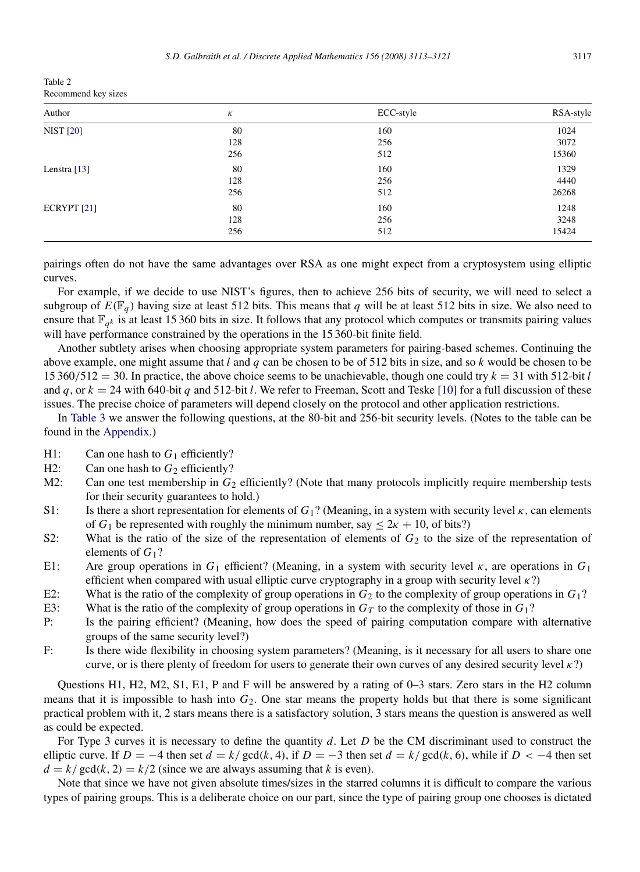<span id="page-4-0"></span>

| Table 2             |  |
|---------------------|--|
| Recommend key sizes |  |

| Author           | К   | ECC-style | RSA-style |
|------------------|-----|-----------|-----------|
| <b>NIST</b> [20] | 80  | 160       | 1024      |
|                  | 128 | 256       | 3072      |
|                  | 256 | 512       | 15360     |
| Lenstra $[13]$   | 80  | 160       | 1329      |
|                  | 128 | 256       | 4440      |
|                  | 256 | 512       | 26268     |
| ECRYPT $[21]$    | 80  | 160       | 1248      |
|                  | 128 | 256       | 3248      |
|                  | 256 | 512       | 15424     |

pairings often do not have the same advantages over RSA as one might expect from a cryptosystem using elliptic curves.

For example, if we decide to use NIST's figures, then to achieve 256 bits of security, we will need to select a subgroup of  $E(\mathbb{F}_q)$  having size at least 512 bits. This means that *q* will be at least 512 bits in size. We also need to ensure that  $\mathbb{F}_{q^k}$  is at least 15 360 bits in size. It follows that any protocol which computes or transmits pairing values will have performance constrained by the operations in the 15 360-bit finite field.

Another subtlety arises when choosing appropriate system parameters for pairing-based schemes. Continuing the above example, one might assume that *l* and *q* can be chosen to be of 512 bits in size, and so *k* would be chosen to be 15 360/512 = 30. In practice, the above choice seems to be unachievable, though one could try  $k = 31$  with 512-bit *l* and *q*, or  $k = 24$  with 640-bit *q* and 512-bit *l*. We refer to Freeman, Scott and Teske [\[10\]](#page-8-17) for a full discussion of these issues. The precise choice of parameters will depend closely on the protocol and other application restrictions.

In [Table 3](#page-5-1) we answer the following questions, at the 80-bit and 256-bit security levels. (Notes to the table can be found in the [Appendix.](#page-5-0))

- H1: Can one hash to  $G_1$  efficiently?<br>H2: Can one hash to  $G_2$  efficiently?
- H2: Can one hash to  $G_2$  efficiently?<br>M2: Can one test membership in  $G_2$
- Can one test membership in  $G_2$  efficiently? (Note that many protocols implicitly require membership tests for their security guarantees to hold.)
- S1: Is there a short representation for elements of  $G_1$ ? (Meaning, in a system with security level  $\kappa$ , can elements of  $G_1$  be represented with roughly the minimum number, say  $\leq 2\kappa + 10$ , of bits?)
- S2: What is the ratio of the size of the representation of elements of  $G_2$  to the size of the representation of elements of *G*1?
- E1: Are group operations in *G*<sup>1</sup> efficient? (Meaning, in a system with security level κ, are operations in *G*<sup>1</sup> efficient when compared with usual elliptic curve cryptography in a group with security level  $\kappa$ ?)
- E2: What is the ratio of the complexity of group operations in  $G_2$  to the complexity of group operations in  $G_1$ ?
- E3: What is the ratio of the complexity of group operations in  $G_T$  to the complexity of those in  $G_1$ ?<br>P: Is the pairing efficient? (Meaning, how does the speed of pairing computation compare with
- Is the pairing efficient? (Meaning, how does the speed of pairing computation compare with alternative groups of the same security level?)
- F: Is there wide flexibility in choosing system parameters? (Meaning, is it necessary for all users to share one curve, or is there plenty of freedom for users to generate their own curves of any desired security level  $\kappa$ ?)

Questions H1, H2, M2, S1, E1, P and F will be answered by a rating of 0–3 stars. Zero stars in the H2 column means that it is impossible to hash into *G*2. One star means the property holds but that there is some significant practical problem with it, 2 stars means there is a satisfactory solution, 3 stars means the question is answered as well as could be expected.

For Type 3 curves it is necessary to define the quantity *d*. Let *D* be the CM discriminant used to construct the elliptic curve. If  $D = -4$  then set  $d = k/\text{gcd}(k, 4)$ , if  $D = -3$  then set  $d = k/\text{gcd}(k, 6)$ , while if  $D < -4$  then set  $d = k / \text{gcd}(k, 2) = k / 2$  (since we are always assuming that *k* is even).

Note that since we have not given absolute times/sizes in the starred columns it is difficult to compare the various types of pairing groups. This is a deliberate choice on our part, since the type of pairing group one chooses is dictated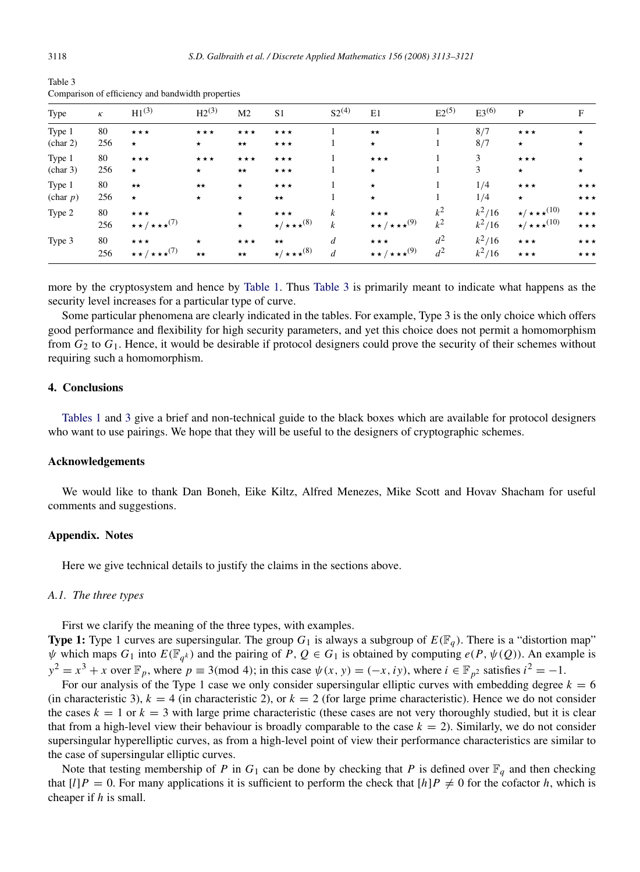| Type     | $\kappa$ | $H1^{(3)}$                              | $H2^{(3)}$        | M <sub>2</sub>    | S <sub>1</sub>                | $S2^{(4)}$       | E1                                 | $E2^{(5)}$ | $E3^{(6)}$ | P                              | F                 |
|----------|----------|-----------------------------------------|-------------------|-------------------|-------------------------------|------------------|------------------------------------|------------|------------|--------------------------------|-------------------|
| Type 1   | 80       | $\star\star\star$                       | $\star\star\star$ | $\star\star\star$ | $\star\star\star$             |                  | $\star\star$                       |            | 8/7        | $\star\star\star$              | $\star$           |
| (char 2) | 256      | $\star$                                 | $\star$           | $\star\star$      | ***                           |                  | $\star$                            |            | 8/7        | $\star$                        | $\star$           |
| Type 1   | 80       | $\star\star\star$                       | ***               | ***               | $\star\star\star$             |                  | $\star \star \star$                |            | 3          | $\star\star\star$              | $\star$           |
| (char 3) | 256      | $\star$                                 | $\star$           | $\star\star$      | ***                           |                  | $\star$                            |            | 3          | $\star$                        | $\star$           |
| Type 1   | 80       | $\star\star$                            | $\star\star$      | $\star$           | $\star\star\star$             |                  | $\star$                            |            | 1/4        | $\star\star\star$              | $\star\star\star$ |
| (char p) | 256      | $\star$                                 | $\star$           | $\star$           | $\star\star$                  |                  | $\star$                            |            | 1/4        | $\star$                        | $\star\star\star$ |
| Type 2   | 80       | $\star\star\star$                       |                   | $\star$           | $\star\star\star$             | $\boldsymbol{k}$ | $\star\star\star$                  | $k^2$      | $k^2/16$   | $\star/\star\star\star^{(10)}$ | $\star\star\star$ |
|          | 256      | $\star \star / \star \star \star^{(7)}$ |                   | $\star$           | $\star/\star\star\star^{(8)}$ | $\boldsymbol{k}$ | $\star\star/\star\star\star^{(9)}$ | $k^2$      | $k^2/16$   | $\star/\star\star\star^{(10)}$ | $\star\star\star$ |
| Type 3   | 80       | $\star\star\star$                       | $\star$           | $\star\star\star$ | $\star\star$                  | $\boldsymbol{d}$ | $\star\star\star$                  | $d^2$      | $k^2/16$   | $\star\star\star$              | $\star\star\star$ |
|          | 256      | $\star\star/\star\star\star^{(7)}$      | $\star\star$      | $\star\star$      | $\star/\star\star\star^{(8)}$ | $\boldsymbol{d}$ | $\star\star/\star\star\star^{(9)}$ | $d^2$      | $k^2/16$   | $\star\star\star$              | $\star\star\star$ |

<span id="page-5-1"></span>Table 3 Comparison of efficiency and bandwidth properties

more by the cryptosystem and hence by [Table 1.](#page-3-1) Thus [Table 3](#page-5-1) is primarily meant to indicate what happens as the security level increases for a particular type of curve.

Some particular phenomena are clearly indicated in the tables. For example, Type 3 is the only choice which offers good performance and flexibility for high security parameters, and yet this choice does not permit a homomorphism from *G*<sup>2</sup> to *G*1. Hence, it would be desirable if protocol designers could prove the security of their schemes without requiring such a homomorphism.

## 4. Conclusions

[Tables 1](#page-3-1) and [3](#page-5-1) give a brief and non-technical guide to the black boxes which are available for protocol designers who want to use pairings. We hope that they will be useful to the designers of cryptographic schemes.

#### Acknowledgements

We would like to thank Dan Boneh, Eike Kiltz, Alfred Menezes, Mike Scott and Hovav Shacham for useful comments and suggestions.

#### Appendix. Notes

<span id="page-5-0"></span>Here we give technical details to justify the claims in the sections above.

## *A.1. The three types*

First we clarify the meaning of the three types, with examples.

**Type 1:** Type 1 curves are supersingular. The group  $G_1$  is always a subgroup of  $E(\mathbb{F}_q)$ . There is a "distortion map"  $\psi$  which maps  $G_1$  into  $E(\mathbb{F}_{q^k})$  and the pairing of  $P, Q \in G_1$  is obtained by computing  $e(P, \psi(Q))$ . An example is  $y^2 = x^3 + x$  over  $\mathbb{F}_p$ , where  $p \equiv 3 \pmod{4}$ ; in this case  $\psi(x, y) = (-x, iy)$ , where  $i \in \mathbb{F}_{p^2}$  satisfies  $i^2 = -1$ .

For our analysis of the Type 1 case we only consider supersingular elliptic curves with embedding degree  $k = 6$ (in characteristic 3),  $k = 4$  (in characteristic 2), or  $k = 2$  (for large prime characteristic). Hence we do not consider the cases  $k = 1$  or  $k = 3$  with large prime characteristic (these cases are not very thoroughly studied, but it is clear that from a high-level view their behaviour is broadly comparable to the case  $k = 2$ ). Similarly, we do not consider supersingular hyperelliptic curves, as from a high-level point of view their performance characteristics are similar to the case of supersingular elliptic curves.

Note that testing membership of *P* in  $G_1$  can be done by checking that *P* is defined over  $\mathbb{F}_q$  and then checking that  $[l]P = 0$ . For many applications it is sufficient to perform the check that  $[h]P \neq 0$  for the cofactor *h*, which is cheaper if *h* is small.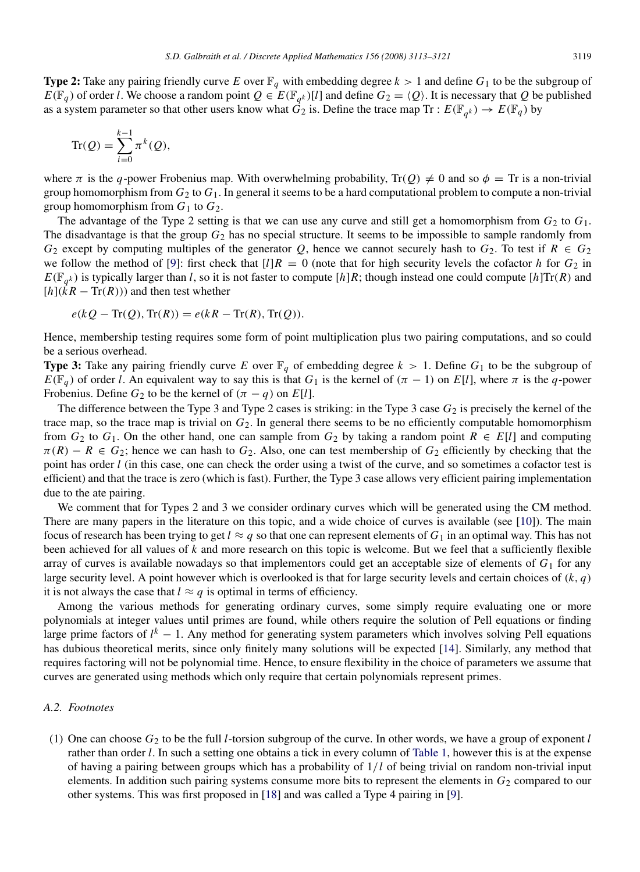**Type 2:** Take any pairing friendly curve *E* over  $\mathbb{F}_q$  with embedding degree  $k > 1$  and define  $G_1$  to be the subgroup of  $E(\mathbb{F}_q)$  of order *l*. We choose a random point  $Q \in E(\mathbb{F}_{q^k})[l]$  and define  $G_2 = \langle Q \rangle$ . It is necessary that *Q* be published as a system parameter so that other users know what  $\vec{G}_2$  is. Define the trace map Tr :  $E(\mathbb{F}_{q^k}) \to E(\mathbb{F}_q)$  by

$$
\operatorname{Tr}(Q) = \sum_{i=0}^{k-1} \pi^k(Q),
$$

where  $\pi$  is the *q*-power Frobenius map. With overwhelming probability,  $\text{Tr}(Q) \neq 0$  and so  $\phi = \text{Tr}$  is a non-trivial group homomorphism from *G*<sup>2</sup> to *G*1. In general it seems to be a hard computational problem to compute a non-trivial group homomorphism from  $G_1$  to  $G_2$ .

The advantage of the Type 2 setting is that we can use any curve and still get a homomorphism from  $G_2$  to  $G_1$ . The disadvantage is that the group *G*<sup>2</sup> has no special structure. It seems to be impossible to sample randomly from *G*<sub>2</sub> except by computing multiples of the generator *Q*, hence we cannot securely hash to  $G_2$ . To test if  $R \in G_2$ we follow the method of [\[9\]](#page-8-10): first check that  $\lfloor l \rfloor R = 0$  (note that for high security levels the cofactor *h* for  $G_2$  in  $E(\mathbb{F}_{q^k})$  is typically larger than *l*, so it is not faster to compute [*h*]*R*; though instead one could compute [*h*]Tr(*R*) and  $[h](\bar{k}R - \text{Tr}(R))$  and then test whether

$$
e(kQ - \text{Tr}(Q), \text{Tr}(R)) = e(kR - \text{Tr}(R), \text{Tr}(Q)).
$$

Hence, membership testing requires some form of point multiplication plus two pairing computations, and so could be a serious overhead.

**Type 3:** Take any pairing friendly curve E over  $\mathbb{F}_q$  of embedding degree  $k > 1$ . Define  $G_1$  to be the subgroup of  $E(\mathbb{F}_q)$  of order *l*. An equivalent way to say this is that  $G_1$  is the kernel of  $(\pi - 1)$  on  $E[l]$ , where  $\pi$  is the *q*-power Frobenius. Define  $G_2$  to be the kernel of  $(\pi - q)$  on  $E[l]$ .

The difference between the Type 3 and Type 2 cases is striking: in the Type 3 case *G*<sup>2</sup> is precisely the kernel of the trace map, so the trace map is trivial on *G*2. In general there seems to be no efficiently computable homomorphism from  $G_2$  to  $G_1$ . On the other hand, one can sample from  $G_2$  by taking a random point  $R \in E[l]$  and computing  $\pi(R) - R \in G_2$ ; hence we can hash to  $G_2$ . Also, one can test membership of  $G_2$  efficiently by checking that the point has order *l* (in this case, one can check the order using a twist of the curve, and so sometimes a cofactor test is efficient) and that the trace is zero (which is fast). Further, the Type 3 case allows very efficient pairing implementation due to the ate pairing.

We comment that for Types 2 and 3 we consider ordinary curves which will be generated using the CM method. There are many papers in the literature on this topic, and a wide choice of curves is available (see [\[10\]](#page-8-17)). The main focus of research has been trying to get  $l \approx q$  so that one can represent elements of  $G_1$  in an optimal way. This has not been achieved for all values of *k* and more research on this topic is welcome. But we feel that a sufficiently flexible array of curves is available nowadays so that implementors could get an acceptable size of elements of *G*<sup>1</sup> for any large security level. A point however which is overlooked is that for large security levels and certain choices of (*k*, *q*) it is not always the case that  $l \approx q$  is optimal in terms of efficiency.

Among the various methods for generating ordinary curves, some simply require evaluating one or more polynomials at integer values until primes are found, while others require the solution of Pell equations or finding large prime factors of  $l^k$  − 1. Any method for generating system parameters which involves solving Pell equations has dubious theoretical merits, since only finitely many solutions will be expected [\[14\]](#page-8-18). Similarly, any method that requires factoring will not be polynomial time. Hence, to ensure flexibility in the choice of parameters we assume that curves are generated using methods which only require that certain polynomials represent primes.

### *A.2. Footnotes*

(1) One can choose *G*<sup>2</sup> to be the full *l*-torsion subgroup of the curve. In other words, we have a group of exponent *l* rather than order *l*. In such a setting one obtains a tick in every column of [Table 1,](#page-3-1) however this is at the expense of having a pairing between groups which has a probability of 1/*l* of being trivial on random non-trivial input elements. In addition such pairing systems consume more bits to represent the elements in  $G_2$  compared to our other systems. This was first proposed in [\[18\]](#page-8-9) and was called a Type 4 pairing in [\[9\]](#page-8-10).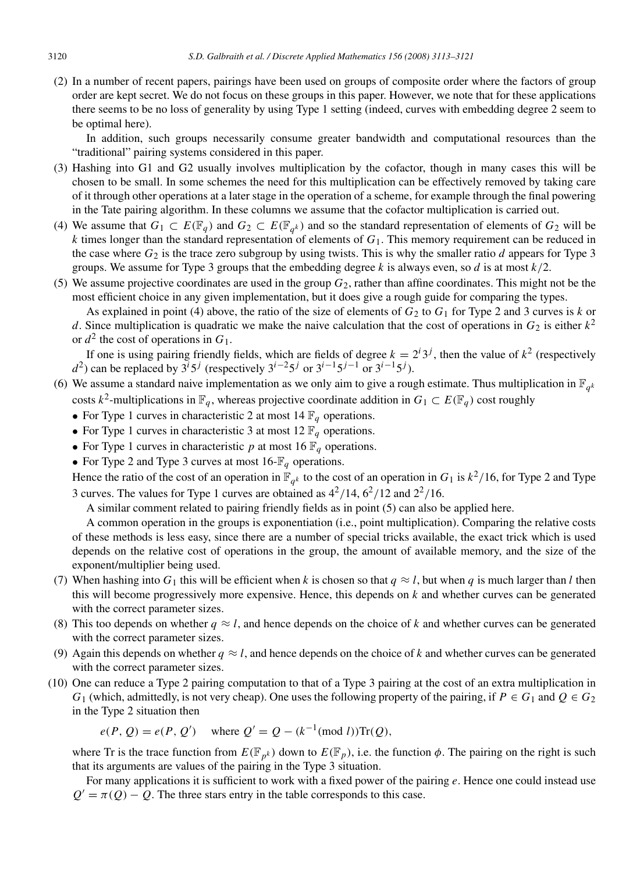(2) In a number of recent papers, pairings have been used on groups of composite order where the factors of group order are kept secret. We do not focus on these groups in this paper. However, we note that for these applications there seems to be no loss of generality by using Type 1 setting (indeed, curves with embedding degree 2 seem to be optimal here).

In addition, such groups necessarily consume greater bandwidth and computational resources than the "traditional" pairing systems considered in this paper.

- (3) Hashing into G1 and G2 usually involves multiplication by the cofactor, though in many cases this will be chosen to be small. In some schemes the need for this multiplication can be effectively removed by taking care of it through other operations at a later stage in the operation of a scheme, for example through the final powering in the Tate pairing algorithm. In these columns we assume that the cofactor multiplication is carried out.
- (4) We assume that  $G_1 \subset E(\mathbb{F}_q)$  and  $G_2 \subset E(\mathbb{F}_{q^k})$  and so the standard representation of elements of  $G_2$  will be  $k$  times longer than the standard representation of elements of  $G_1$ . This memory requirement can be reduced in the case where  $G_2$  is the trace zero subgroup by using twists. This is why the smaller ratio *d* appears for Type 3 groups. We assume for Type 3 groups that the embedding degree *k* is always even, so *d* is at most *k*/2.
- (5) We assume projective coordinates are used in the group  $G_2$ , rather than affine coordinates. This might not be the most efficient choice in any given implementation, but it does give a rough guide for comparing the types.

As explained in point (4) above, the ratio of the size of elements of  $G_2$  to  $G_1$  for Type 2 and 3 curves is *k* or *d*. Since multiplication is quadratic we make the naive calculation that the cost of operations in  $G_2$  is either  $k^2$ or  $d^2$  the cost of operations in  $G_1$ .

If one is using pairing friendly fields, which are fields of degree  $k = 2^i 3^j$ , then the value of  $k^2$  (respectively *d*<sup>2</sup>) can be replaced by  $3^{i}5^{j}$  (respectively  $3^{i-2}5^{j}$  or  $3^{i-1}5^{j-1}$  or  $3^{i-1}5^{j}$ ).

- (6) We assume a standard naive implementation as we only aim to give a rough estimate. Thus multiplication in  $\mathbb{F}_{q^k}$ costs  $k^2$ -multiplications in  $\mathbb{F}_q$ , whereas projective coordinate addition in  $G_1 \subset E(\mathbb{F}_q)$  cost roughly
	- For Type 1 curves in characteristic 2 at most  $14 \mathbb{F}_q$  operations.
	- For Type 1 curves in characteristic 3 at most 12  $\mathbb{F}_q$  operations.
	- For Type 1 curves in characteristic  $p$  at most 16  $\mathbb{F}_q$  operations.
	- For Type 2 and Type 3 curves at most  $16-\mathbb{F}_q$  operations.

Hence the ratio of the cost of an operation in  $\mathbb{F}_{q^k}$  to the cost of an operation in  $G_1$  is  $k^2/16$ , for Type 2 and Type 3 curves. The values for Type 1 curves are obtained as  $4^2/14$ ,  $6^2/12$  and  $2^2/16$ .

A similar comment related to pairing friendly fields as in point (5) can also be applied here.

A common operation in the groups is exponentiation (i.e., point multiplication). Comparing the relative costs of these methods is less easy, since there are a number of special tricks available, the exact trick which is used depends on the relative cost of operations in the group, the amount of available memory, and the size of the exponent/multiplier being used.

- (7) When hashing into  $G_1$  this will be efficient when *k* is chosen so that  $q \approx l$ , but when *q* is much larger than *l* then this will become progressively more expensive. Hence, this depends on *k* and whether curves can be generated with the correct parameter sizes.
- (8) This too depends on whether  $q \approx l$ , and hence depends on the choice of *k* and whether curves can be generated with the correct parameter sizes.
- (9) Again this depends on whether  $q \approx l$ , and hence depends on the choice of k and whether curves can be generated with the correct parameter sizes.
- (10) One can reduce a Type 2 pairing computation to that of a Type 3 pairing at the cost of an extra multiplication in *G*<sub>1</sub> (which, admittedly, is not very cheap). One uses the following property of the pairing, if  $P \in G_1$  and  $Q \in G_2$ in the Type 2 situation then

 $e(P, Q) = e(P, Q')$  where  $Q' = Q - (k^{-1} \pmod{l} ) \text{Tr}(Q)$ ,

where Tr is the trace function from  $E(\mathbb{F}_{p^k})$  down to  $E(\mathbb{F}_p)$ , i.e. the function  $\phi$ . The pairing on the right is such that its arguments are values of the pairing in the Type 3 situation.

For many applications it is sufficient to work with a fixed power of the pairing *e*. Hence one could instead use  $Q' = \pi(Q) - Q$ . The three stars entry in the table corresponds to this case.